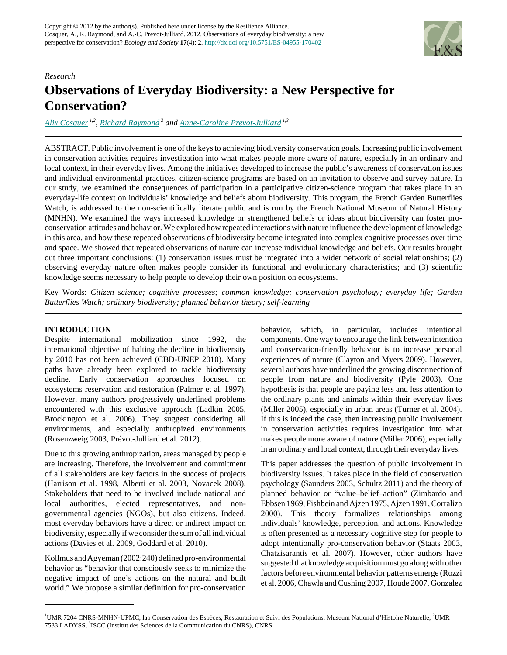

# *Research* **Observations of Everyday Biodiversity: a New Perspective for Conservation?**

*[Alix Cosquer](mailto:cosquer@mnhn.fr) 1,2* , *[Richard Raymond](mailto:ric_raymond@yahoo.com)<sup>2</sup> and [Anne-Caroline Prevot-Julliard](mailto:acpj@mnhn.fr) 1,3*

ABSTRACT. Public involvement is one of the keys to achieving biodiversity conservation goals. Increasing public involvement in conservation activities requires investigation into what makes people more aware of nature, especially in an ordinary and local context, in their everyday lives. Among the initiatives developed to increase the public's awareness of conservation issues and individual environmental practices, citizen-science programs are based on an invitation to observe and survey nature. In our study, we examined the consequences of participation in a participative citizen-science program that takes place in an everyday-life context on individuals' knowledge and beliefs about biodiversity. This program, the French Garden Butterflies Watch, is addressed to the non-scientifically literate public and is run by the French National Museum of Natural History (MNHN). We examined the ways increased knowledge or strengthened beliefs or ideas about biodiversity can foster proconservation attitudes and behavior. We explored how repeated interactions with nature influence the development of knowledge in this area, and how these repeated observations of biodiversity become integrated into complex cognitive processes over time and space. We showed that repeated observations of nature can increase individual knowledge and beliefs. Our results brought out three important conclusions: (1) conservation issues must be integrated into a wider network of social relationships; (2) observing everyday nature often makes people consider its functional and evolutionary characteristics; and (3) scientific knowledge seems necessary to help people to develop their own position on ecosystems.

Key Words: *Citizen science; cognitive processes; common knowledge; conservation psychology; everyday life; Garden Butterflies Watch; ordinary biodiversity; planned behavior theory; self-learning*

# **INTRODUCTION**

Despite international mobilization since 1992, the international objective of halting the decline in biodiversity by 2010 has not been achieved (CBD-UNEP 2010). Many paths have already been explored to tackle biodiversity decline. Early conservation approaches focused on ecosystems reservation and restoration (Palmer et al. 1997). However, many authors progressively underlined problems encountered with this exclusive approach (Ladkin 2005, Brockington et al. 2006). They suggest considering all environments, and especially anthropized environments (Rosenzweig 2003, Prévot-Julliard et al. 2012).

Due to this growing anthropization, areas managed by people are increasing. Therefore, the involvement and commitment of all stakeholders are key factors in the success of projects (Harrison et al. 1998, Alberti et al. 2003, Novacek 2008). Stakeholders that need to be involved include national and local authorities, elected representatives, and nongovernmental agencies (NGOs), but also citizens. Indeed, most everyday behaviors have a direct or indirect impact on biodiversity, especially if we consider the sum of all individual actions (Davies et al. 2009, Goddard et al. 2010).

Kollmus and Agyeman (2002:240) defined pro-environmental behavior as "behavior that consciously seeks to minimize the negative impact of one's actions on the natural and built world." We propose a similar definition for pro-conservation behavior, which, in particular, includes intentional components. One way to encourage the link between intention and conservation-friendly behavior is to increase personal experiences of nature (Clayton and Myers 2009). However, several authors have underlined the growing disconnection of people from nature and biodiversity (Pyle 2003). One hypothesis is that people are paying less and less attention to the ordinary plants and animals within their everyday lives (Miller 2005), especially in urban areas (Turner et al. 2004). If this is indeed the case, then increasing public involvement in conservation activities requires investigation into what makes people more aware of nature (Miller 2006), especially in an ordinary and local context, through their everyday lives.

This paper addresses the question of public involvement in biodiversity issues. It takes place in the field of conservation psychology (Saunders 2003, Schultz 2011) and the theory of planned behavior or "value–belief–action" (Zimbardo and Ebbsen 1969, Fishbein and Ajzen 1975, Ajzen 1991, Corraliza 2000). This theory formalizes relationships among individuals' knowledge, perception, and actions. Knowledge is often presented as a necessary cognitive step for people to adopt intentionally pro-conservation behavior (Staats 2003, Chatzisarantis et al. 2007). However, other authors have suggested that knowledge acquisition must go along with other factors before environmental behavior patterns emerge (Rozzi et al. 2006, Chawla and Cushing 2007, Houde 2007, Gonzalez

<sup>&</sup>lt;sup>1</sup>UMR 7204 CNRS-MNHN-UPMC, lab Conservation des Espèces, Restauration et Suivi des Populations, Museum National d'Histoire Naturelle, <sup>2</sup>UMR 7533 LADYSS, <sup>3</sup>ISCC (Institut des Sciences de la Communication du CNRS), CNRS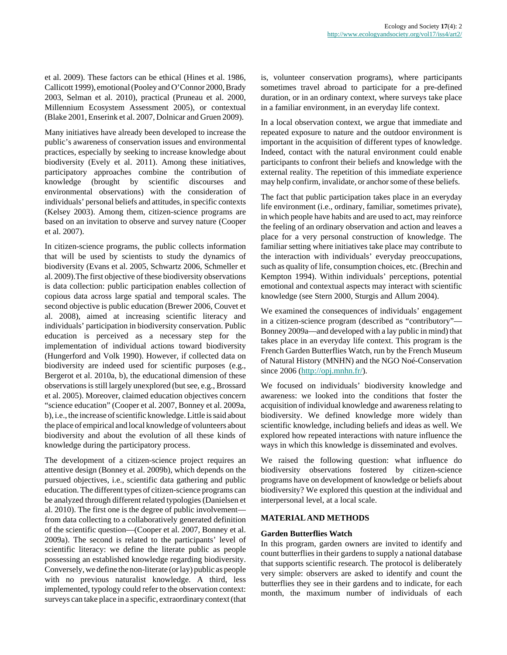et al. 2009). These factors can be ethical (Hines et al. 1986, Callicott 1999), emotional (Pooley and O'Connor 2000, Brady 2003, Selman et al. 2010), practical (Pruneau et al. 2000, Millennium Ecosystem Assessment 2005), or contextual (Blake 2001, Enserink et al. 2007, Dolnicar and Gruen 2009).

Many initiatives have already been developed to increase the public's awareness of conservation issues and environmental practices, especially by seeking to increase knowledge about biodiversity (Evely et al. 2011). Among these initiatives, participatory approaches combine the contribution of knowledge (brought by scientific discourses and environmental observations) with the consideration of individuals' personal beliefs and attitudes, in specific contexts (Kelsey 2003). Among them, citizen-science programs are based on an invitation to observe and survey nature (Cooper et al. 2007).

In citizen-science programs, the public collects information that will be used by scientists to study the dynamics of biodiversity (Evans et al. 2005, Schwartz 2006, Schmeller et al. 2009).The first objective of these biodiversity observations is data collection: public participation enables collection of copious data across large spatial and temporal scales. The second objective is public education (Brewer 2006, Couvet et al. 2008), aimed at increasing scientific literacy and individuals' participation in biodiversity conservation. Public education is perceived as a necessary step for the implementation of individual actions toward biodiversity (Hungerford and Volk 1990). However, if collected data on biodiversity are indeed used for scientific purposes (e.g., Bergerot et al. 2010a, b), the educational dimension of these observations is still largely unexplored (but see, e.g., Brossard et al. 2005). Moreover, claimed education objectives concern "science education" (Cooper et al. 2007, Bonney et al. 2009a, b), i.e., the increase of scientific knowledge. Little is said about the place of empirical and local knowledge of volunteers about biodiversity and about the evolution of all these kinds of knowledge during the participatory process.

The development of a citizen-science project requires an attentive design (Bonney et al. 2009b), which depends on the pursued objectives, i.e., scientific data gathering and public education. The different types of citizen-science programs can be analyzed through different related typologies (Danielsen et al. 2010). The first one is the degree of public involvement from data collecting to a collaboratively generated definition of the scientific question—(Cooper et al. 2007, Bonney et al. 2009a). The second is related to the participants' level of scientific literacy: we define the literate public as people possessing an established knowledge regarding biodiversity. Conversely, we define the non-literate (or lay) public as people with no previous naturalist knowledge. A third, less implemented, typology could refer to the observation context: surveys can take place in a specific, extraordinary context (that is, volunteer conservation programs), where participants sometimes travel abroad to participate for a pre-defined duration, or in an ordinary context, where surveys take place in a familiar environment, in an everyday life context.

In a local observation context, we argue that immediate and repeated exposure to nature and the outdoor environment is important in the acquisition of different types of knowledge. Indeed, contact with the natural environment could enable participants to confront their beliefs and knowledge with the external reality. The repetition of this immediate experience may help confirm, invalidate, or anchor some of these beliefs.

The fact that public participation takes place in an everyday life environment (i.e., ordinary, familiar, sometimes private), in which people have habits and are used to act, may reinforce the feeling of an ordinary observation and action and leaves a place for a very personal construction of knowledge. The familiar setting where initiatives take place may contribute to the interaction with individuals' everyday preoccupations, such as quality of life, consumption choices, etc. (Brechin and Kempton 1994). Within individuals' perceptions, potential emotional and contextual aspects may interact with scientific knowledge (see Stern 2000, Sturgis and Allum 2004).

We examined the consequences of individuals' engagement in a citizen-science program (described as "contributory"— Bonney 2009a—and developed with a lay public in mind) that takes place in an everyday life context. This program is the French Garden Butterflies Watch, run by the French Museum of Natural History (MNHN) and the NGO Noé-Conservation since 2006 ([http://opj.mnhn.fr/\)](http://opj.mnhn.fr/).

We focused on individuals' biodiversity knowledge and awareness: we looked into the conditions that foster the acquisition of individual knowledge and awareness relating to biodiversity. We defined knowledge more widely than scientific knowledge, including beliefs and ideas as well. We explored how repeated interactions with nature influence the ways in which this knowledge is disseminated and evolves.

We raised the following question: what influence do biodiversity observations fostered by citizen-science programs have on development of knowledge or beliefs about biodiversity? We explored this question at the individual and interpersonal level, at a local scale.

# **MATERIAL AND METHODS**

# **Garden Butterflies Watch**

In this program, garden owners are invited to identify and count butterflies in their gardens to supply a national database that supports scientific research. The protocol is deliberately very simple: observers are asked to identify and count the butterflies they see in their gardens and to indicate, for each month, the maximum number of individuals of each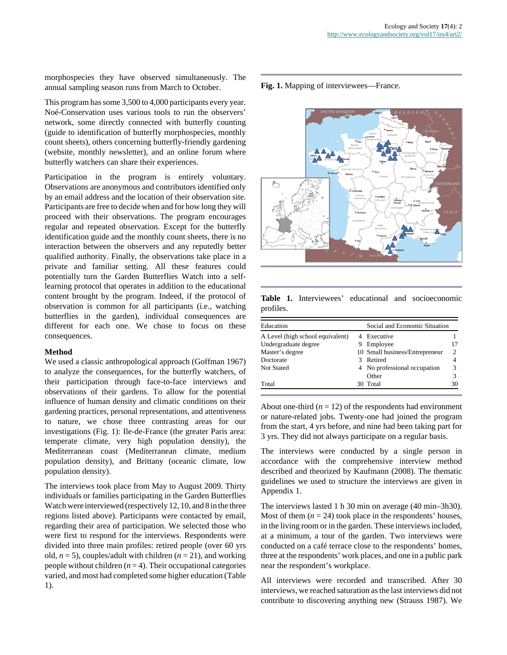morphospecies they have observed simultaneously. The annual sampling season runs from March to October.

This program has some 3,500 to 4,000 participants every year. Noé-Conservation uses various tools to run the observers' network, some directly connected with butterfly counting (guide to identification of butterfly morphospecies, monthly count sheets), others concerning butterfly-friendly gardening (website, monthly newsletter), and an online forum where butterfly watchers can share their experiences.

Participation in the program is entirely voluntary. Observations are anonymous and contributors identified only by an email address and the location of their observation site. Participants are free to decide when and for how long they will proceed with their observations. The program encourages regular and repeated observation. Except for the butterfly identification guide and the monthly count sheets, there is no interaction between the observers and any reputedly better qualified authority. Finally, the observations take place in a private and familiar setting. All these features could potentially turn the Garden Butterflies Watch into a selflearning protocol that operates in addition to the educational content brought by the program. Indeed, if the protocol of observation is common for all participants (i.e., watching butterflies in the garden), individual consequences are different for each one. We chose to focus on these consequences.

#### **Method**

We used a classic anthropological approach (Goffman 1967) to analyze the consequences, for the butterfly watchers, of their participation through face-to-face interviews and observations of their gardens. To allow for the potential influence of human density and climatic conditions on their gardening practices, personal representations, and attentiveness to nature, we chose three contrasting areas for our investigations (Fig. 1): Ile-de-France (the greater Paris area: temperate climate, very high population density), the Mediterranean coast (Mediterranean climate, medium population density), and Brittany (oceanic climate, low population density).

The interviews took place from May to August 2009. Thirty individuals or families participating in the Garden Butterflies Watch were interviewed (respectively 12, 10, and 8 in the three regions listed above). Participants were contacted by email, regarding their area of participation. We selected those who were first to respond for the interviews. Respondents were divided into three main profiles: retired people (over 60 yrs old,  $n = 5$ ), couples/adult with children  $(n = 21)$ , and working people without children  $(n = 4)$ . Their occupational categories varied, and most had completed some higher education (Table 1).





**Table 1.** Interviewees' educational and socioeconomic profiles.

| Education                        |   | Social and Economic Situation  |    |
|----------------------------------|---|--------------------------------|----|
| A Level (high school equivalent) |   | 4 Executive                    |    |
| Undergraduate degree             |   | Employee                       |    |
| Master's degree                  |   | 10 Small business/Entrepreneur | っ  |
| Doctorate                        | 3 | Retired                        |    |
| <b>Not Stated</b>                |   | 4 No professional occupation   | 3  |
|                                  |   | Other                          |    |
| Total                            |   | 30 Total                       | 30 |

About one-third  $(n = 12)$  of the respondents had environment or nature-related jobs. Twenty-one had joined the program from the start, 4 yrs before, and nine had been taking part for 3 yrs. They did not always participate on a regular basis.

The interviews were conducted by a single person in accordance with the comprehensive interview method described and theorized by Kaufmann (2008). The thematic guidelines we used to structure the interviews are given in Appendix 1.

The interviews lasted 1 h 30 min on average (40 min–3h30). Most of them  $(n = 24)$  took place in the respondents' houses. in the living room or in the garden. These interviews included, at a minimum, a tour of the garden. Two interviews were conducted on a café terrace close to the respondents' homes, three at the respondents' work places, and one in a public park near the respondent's workplace.

All interviews were recorded and transcribed. After 30 interviews, we reached saturation as the last interviews did not contribute to discovering anything new (Strauss 1987). We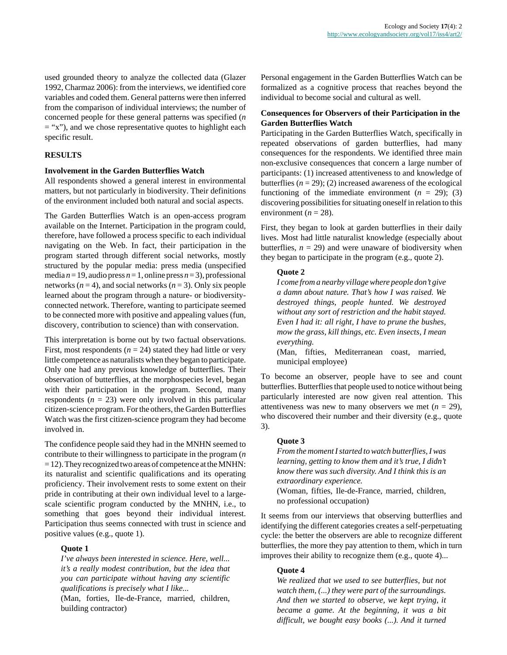used grounded theory to analyze the collected data (Glazer 1992, Charmaz 2006): from the interviews, we identified core variables and coded them. General patterns were then inferred from the comparison of individual interviews; the number of concerned people for these general patterns was specified (*n*  $=$  "x"), and we chose representative quotes to highlight each specific result.

# **RESULTS**

# **Involvement in the Garden Butterflies Watch**

All respondents showed a general interest in environmental matters, but not particularly in biodiversity. Their definitions of the environment included both natural and social aspects.

The Garden Butterflies Watch is an open-access program available on the Internet. Participation in the program could, therefore, have followed a process specific to each individual navigating on the Web. In fact, their participation in the program started through different social networks, mostly structured by the popular media: press media (unspecified media  $n = 19$ , audio press  $n = 1$ , online press  $n = 3$ ), professional networks  $(n = 4)$ , and social networks  $(n = 3)$ . Only six people learned about the program through a nature- or biodiversityconnected network. Therefore, wanting to participate seemed to be connected more with positive and appealing values (fun, discovery, contribution to science) than with conservation.

This interpretation is borne out by two factual observations. First, most respondents  $(n = 24)$  stated they had little or very little competence as naturalists when they began to participate. Only one had any previous knowledge of butterflies. Their observation of butterflies, at the morphospecies level, began with their participation in the program. Second, many respondents  $(n = 23)$  were only involved in this particular citizen-science program. For the others, the Garden Butterflies Watch was the first citizen-science program they had become involved in.

The confidence people said they had in the MNHN seemed to contribute to their willingness to participate in the program (*n* = 12). They recognized two areas of competence at the MNHN: its naturalist and scientific qualifications and its operating proficiency. Their involvement rests to some extent on their pride in contributing at their own individual level to a largescale scientific program conducted by the MNHN, i.e., to something that goes beyond their individual interest. Participation thus seems connected with trust in science and positive values (e.g., quote 1).

# **Quote 1**

*I've always been interested in science. Here, well... it's a really modest contribution, but the idea that you can participate without having any scientific qualifications is precisely what I like...*

(Man, forties, Ile-de-France, married, children, building contractor)

Personal engagement in the Garden Butterflies Watch can be formalized as a cognitive process that reaches beyond the individual to become social and cultural as well.

# **Consequences for Observers of their Participation in the Garden Butterflies Watch**

Participating in the Garden Butterflies Watch, specifically in repeated observations of garden butterflies, had many consequences for the respondents. We identified three main non-exclusive consequences that concern a large number of participants: (1) increased attentiveness to and knowledge of butterflies  $(n = 29)$ ; (2) increased awareness of the ecological functioning of the immediate environment  $(n = 29)$ ; (3) discovering possibilities for situating oneself in relation to this environment ( $n = 28$ ).

First, they began to look at garden butterflies in their daily lives. Most had little naturalist knowledge (especially about butterflies,  $n = 29$ ) and were unaware of biodiversity when they began to participate in the program (e.g., quote 2).

# **Quote 2**

*I come from a nearby village where people don't give a damn about nature. That's how I was raised. We destroyed things, people hunted. We destroyed without any sort of restriction and the habit stayed. Even I had it: all right, I have to prune the bushes, mow the grass, kill things, etc. Even insects, I mean everything.*

(Man, fifties, Mediterranean coast, married, municipal employee)

To become an observer, people have to see and count butterflies. Butterflies that people used to notice without being particularly interested are now given real attention. This attentiveness was new to many observers we met  $(n = 29)$ , who discovered their number and their diversity (e.g., quote 3).

# **Quote 3**

*From the moment I started to watch butterflies, I was learning, getting to know them and it's true, I didn't know there was such diversity. And I think this is an extraordinary experience.*

(Woman, fifties, Ile-de-France, married, children, no professional occupation)

It seems from our interviews that observing butterflies and identifying the different categories creates a self-perpetuating cycle: the better the observers are able to recognize different butterflies, the more they pay attention to them, which in turn improves their ability to recognize them (e.g., quote 4)...

#### **Quote 4**

*We realized that we used to see butterflies, but not watch them, (...) they were part of the surroundings. And then we started to observe, we kept trying, it became a game. At the beginning, it was a bit difficult, we bought easy books (...). And it turned*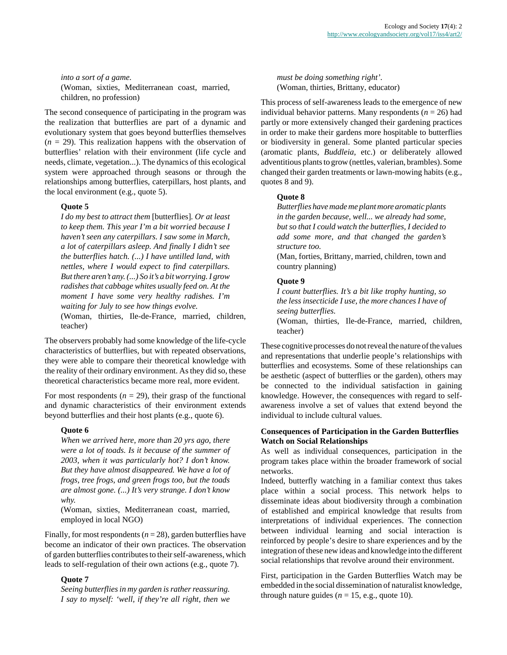*into a sort of a game.* (Woman, sixties, Mediterranean coast, married, children, no profession)

The second consequence of participating in the program was the realization that butterflies are part of a dynamic and evolutionary system that goes beyond butterflies themselves  $(n = 29)$ . This realization happens with the observation of butterflies' relation with their environment (life cycle and needs, climate, vegetation...). The dynamics of this ecological system were approached through seasons or through the relationships among butterflies, caterpillars, host plants, and the local environment (e.g., quote 5).

#### **Quote 5**

*I do my best to attract them* [butterflies]*. Or at least to keep them. This year I'm a bit worried because I haven't seen any caterpillars. I saw some in March, a lot of caterpillars asleep. And finally I didn't see the butterflies hatch. (...) I have untilled land, with nettles, where I would expect to find caterpillars. But there aren't any. (...) So it's a bit worrying. I grow radishes that cabbage whites usually feed on. At the moment I have some very healthy radishes. I'm waiting for July to see how things evolve.* 

(Woman, thirties, Ile-de-France, married, children, teacher)

The observers probably had some knowledge of the life-cycle characteristics of butterflies, but with repeated observations, they were able to compare their theoretical knowledge with the reality of their ordinary environment. As they did so, these theoretical characteristics became more real, more evident.

For most respondents  $(n = 29)$ , their grasp of the functional and dynamic characteristics of their environment extends beyond butterflies and their host plants (e.g., quote 6).

#### **Quote 6**

*When we arrived here, more than 20 yrs ago, there were a lot of toads. Is it because of the summer of 2003, when it was particularly hot? I don't know. But they have almost disappeared. We have a lot of frogs, tree frogs, and green frogs too, but the toads are almost gone. (...) It's very strange. I don't know why.*

(Woman, sixties, Mediterranean coast, married, employed in local NGO)

Finally, for most respondents  $(n = 28)$ , garden butterflies have become an indicator of their own practices. The observation of garden butterflies contributes to their self-awareness, which leads to self-regulation of their own actions (e.g., quote 7).

#### **Quote 7**

*Seeing butterflies in my garden is rather reassuring. I say to myself: 'well, if they're all right, then we* *must be doing something right'.* (Woman, thirties, Brittany, educator)

This process of self-awareness leads to the emergence of new individual behavior patterns. Many respondents  $(n = 26)$  had partly or more extensively changed their gardening practices in order to make their gardens more hospitable to butterflies or biodiversity in general. Some planted particular species (aromatic plants, *Buddleia*, etc.) or deliberately allowed adventitious plants to grow (nettles, valerian, brambles). Some changed their garden treatments or lawn-mowing habits (e.g., quotes 8 and 9).

#### **Quote 8**

*Butterflies have made me plant more aromatic plants in the garden because, well... we already had some, but so that I could watch the butterflies, I decided to add some more, and that changed the garden's structure too.*

(Man, forties, Brittany, married, children, town and country planning)

#### **Quote 9**

*I count butterflies. It's a bit like trophy hunting, so the less insecticide I use, the more chances I have of seeing butterflies.*

(Woman, thirties, Ile-de-France, married, children, teacher)

These cognitive processes do not reveal the nature of the values and representations that underlie people's relationships with butterflies and ecosystems. Some of these relationships can be aesthetic (aspect of butterflies or the garden), others may be connected to the individual satisfaction in gaining knowledge. However, the consequences with regard to selfawareness involve a set of values that extend beyond the individual to include cultural values.

### **Consequences of Participation in the Garden Butterflies Watch on Social Relationships**

As well as individual consequences, participation in the program takes place within the broader framework of social networks.

Indeed, butterfly watching in a familiar context thus takes place within a social process. This network helps to disseminate ideas about biodiversity through a combination of established and empirical knowledge that results from interpretations of individual experiences. The connection between individual learning and social interaction is reinforced by people's desire to share experiences and by the integration of these new ideas and knowledge into the different social relationships that revolve around their environment.

First, participation in the Garden Butterflies Watch may be embedded in the social dissemination of naturalist knowledge, through nature guides  $(n = 15, e.g.,$  quote 10).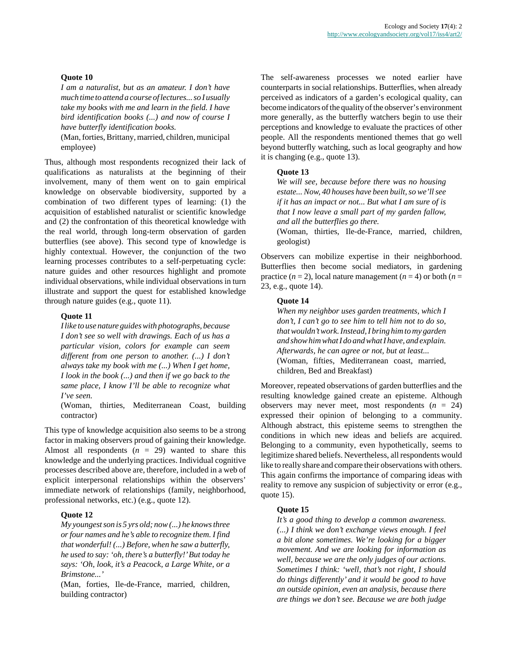# **Quote 10**

*I am a naturalist, but as an amateur. I don't have much time to attend a course of lectures... so I usually take my books with me and learn in the field. I have bird identification books (...) and now of course I have butterfly identification books.* (Man, forties, Brittany, married, children, municipal employee)

Thus, although most respondents recognized their lack of qualifications as naturalists at the beginning of their involvement, many of them went on to gain empirical knowledge on observable biodiversity, supported by a combination of two different types of learning: (1) the acquisition of established naturalist or scientific knowledge and (2) the confrontation of this theoretical knowledge with the real world, through long-term observation of garden butterflies (see above). This second type of knowledge is highly contextual. However, the conjunction of the two learning processes contributes to a self-perpetuating cycle: nature guides and other resources highlight and promote individual observations, while individual observations in turn illustrate and support the quest for established knowledge through nature guides (e.g., quote 11).

# **Quote 11**

*I like to use nature guides with photographs, because I don't see so well with drawings. Each of us has a particular vision, colors for example can seem different from one person to another. (...) I don't always take my book with me (...) When I get home, I look in the book (...) and then if we go back to the same place, I know I'll be able to recognize what I've seen.*

(Woman, thirties, Mediterranean Coast, building contractor)

This type of knowledge acquisition also seems to be a strong factor in making observers proud of gaining their knowledge. Almost all respondents  $(n = 29)$  wanted to share this knowledge and the underlying practices. Individual cognitive processes described above are, therefore, included in a web of explicit interpersonal relationships within the observers' immediate network of relationships (family, neighborhood, professional networks, etc.) (e.g., quote 12).

# **Quote 12**

*My youngest son is 5 yrs old; now (...) he knows three or four names and he's able to recognize them. I find that wonderful! (...) Before, when he saw a butterfly, he used to say: 'oh, there's a butterfly!' But today he says: 'Oh, look, it's a Peacock, a Large White, or a Brimstone...'*

(Man, forties, Ile-de-France, married, children, building contractor)

The self-awareness processes we noted earlier have counterparts in social relationships. Butterflies, when already perceived as indicators of a garden's ecological quality, can become indicators of the quality of the observer's environment more generally, as the butterfly watchers begin to use their perceptions and knowledge to evaluate the practices of other people. All the respondents mentioned themes that go well beyond butterfly watching, such as local geography and how it is changing (e.g., quote 13).

# **Quote 13**

*We will see, because before there was no housing estate... Now, 40 houses have been built, so we'll see if it has an impact or not... But what I am sure of is that I now leave a small part of my garden fallow, and all the butterflies go there.* (Woman, thirties, Ile-de-France, married, children, geologist)

Observers can mobilize expertise in their neighborhood. Butterflies then become social mediators, in gardening practice  $(n = 2)$ , local nature management  $(n = 4)$  or both  $(n = 1)$ 23, e.g., quote 14).

# **Quote 14**

*When my neighbor uses garden treatments, which I don't, I can't go to see him to tell him not to do so, that wouldn't work. Instead, I bring him to my garden and show him what I do and what I have, and explain. Afterwards, he can agree or not, but at least...* (Woman, fifties, Mediterranean coast, married, children, Bed and Breakfast)

Moreover, repeated observations of garden butterflies and the resulting knowledge gained create an episteme. Although observers may never meet, most respondents (*n* = 24) expressed their opinion of belonging to a community. Although abstract, this episteme seems to strengthen the conditions in which new ideas and beliefs are acquired. Belonging to a community, even hypothetically, seems to legitimize shared beliefs. Nevertheless, all respondents would like to really share and compare their observations with others. This again confirms the importance of comparing ideas with reality to remove any suspicion of subjectivity or error (e.g., quote 15).

# **Quote 15**

*It's a good thing to develop a common awareness. (...) I think we don't exchange views enough. I feel a bit alone sometimes. We're looking for a bigger movement. And we are looking for information as well, because we are the only judges of our actions. Sometimes I think: 'well, that's not right, I should do things differently' and it would be good to have an outside opinion, even an analysis, because there are things we don't see. Because we are both judge*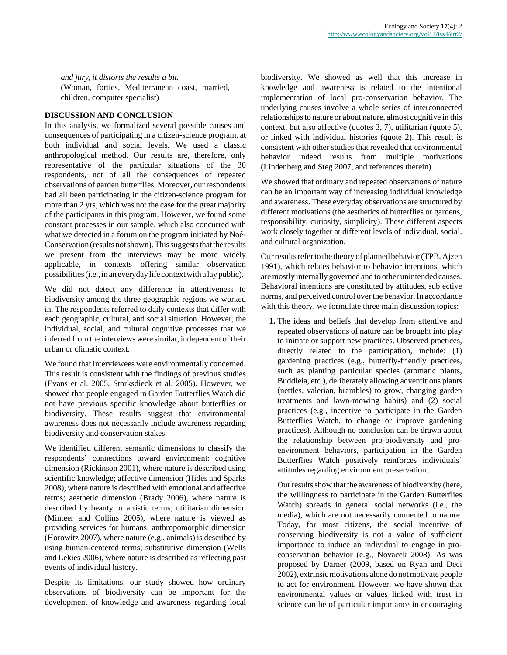*and jury, it distorts the results a bit.* (Woman, forties, Mediterranean coast, married, children, computer specialist)

#### **DISCUSSION AND CONCLUSION**

In this analysis, we formalized several possible causes and consequences of participating in a citizen-science program, at both individual and social levels. We used a classic anthropological method. Our results are, therefore, only representative of the particular situations of the 30 respondents, not of all the consequences of repeated observations of garden butterflies. Moreover, our respondents had all been participating in the citizen-science program for more than 2 yrs, which was not the case for the great majority of the participants in this program. However, we found some constant processes in our sample, which also concurred with what we detected in a forum on the program initiated by Noé-Conservation (results not shown). This suggests that the results we present from the interviews may be more widely applicable, in contexts offering similar observation possibilities (i.e., in an everyday life context with a lay public).

We did not detect any difference in attentiveness to biodiversity among the three geographic regions we worked in. The respondents referred to daily contexts that differ with each geographic, cultural, and social situation. However, the individual, social, and cultural cognitive processes that we inferred from the interviews were similar, independent of their urban or climatic context.

We found that interviewees were environmentally concerned. This result is consistent with the findings of previous studies (Evans et al. 2005, Storksdieck et al. 2005). However, we showed that people engaged in Garden Butterflies Watch did not have previous specific knowledge about butterflies or biodiversity. These results suggest that environmental awareness does not necessarily include awareness regarding biodiversity and conservation stakes.

We identified different semantic dimensions to classify the respondents' connections toward environment: cognitive dimension (Rickinson 2001), where nature is described using scientific knowledge; affective dimension (Hides and Sparks 2008), where nature is described with emotional and affective terms; aesthetic dimension (Brady 2006), where nature is described by beauty or artistic terms; utilitarian dimension (Minteer and Collins 2005), where nature is viewed as providing services for humans; anthropomorphic dimension (Horowitz 2007), where nature (e.g., animals) is described by using human-centered terms; substitutive dimension (Wells and Lekies 2006), where nature is described as reflecting past events of individual history.

Despite its limitations, our study showed how ordinary observations of biodiversity can be important for the development of knowledge and awareness regarding local

biodiversity. We showed as well that this increase in knowledge and awareness is related to the intentional implementation of local pro-conservation behavior. The underlying causes involve a whole series of interconnected relationships to nature or about nature, almost cognitive in this context, but also affective (quotes 3, 7), utilitarian (quote 5), or linked with individual histories (quote 2). This result is consistent with other studies that revealed that environmental behavior indeed results from multiple motivations (Lindenberg and Steg 2007, and references therein).

We showed that ordinary and repeated observations of nature can be an important way of increasing individual knowledge and awareness. These everyday observations are structured by different motivations (the aesthetics of butterflies or gardens, responsibility, curiosity, simplicity). These different aspects work closely together at different levels of individual, social, and cultural organization.

Our results refer to the theory of planned behavior (TPB, Ajzen 1991), which relates behavior to behavior intentions, which are mostly internally governed and to other unintended causes. Behavioral intentions are constituted by attitudes, subjective norms, and perceived control over the behavior. In accordance with this theory, we formulate three main discussion topics:

**1.** The ideas and beliefs that develop from attentive and repeated observations of nature can be brought into play to initiate or support new practices. Observed practices, directly related to the participation, include: (1) gardening practices (e.g., butterfly-friendly practices, such as planting particular species (aromatic plants, Buddleia, etc.), deliberately allowing adventitious plants (nettles, valerian, brambles) to grow, changing garden treatments and lawn-mowing habits) and (2) social practices (e.g., incentive to participate in the Garden Butterflies Watch, to change or improve gardening practices). Although no conclusion can be drawn about the relationship between pro-biodiversity and proenvironment behaviors, participation in the Garden Butterflies Watch positively reinforces individuals' attitudes regarding environment preservation.

Our results show that the awareness of biodiversity (here, the willingness to participate in the Garden Butterflies Watch) spreads in general social networks (i.e., the media), which are not necessarily connected to nature. Today, for most citizens, the social incentive of conserving biodiversity is not a value of sufficient importance to induce an individual to engage in proconservation behavior (e.g., Novacek 2008). As was proposed by Darner (2009, based on Ryan and Deci 2002), extrinsic motivations alone do not motivate people to act for environment. However, we have shown that environmental values or values linked with trust in science can be of particular importance in encouraging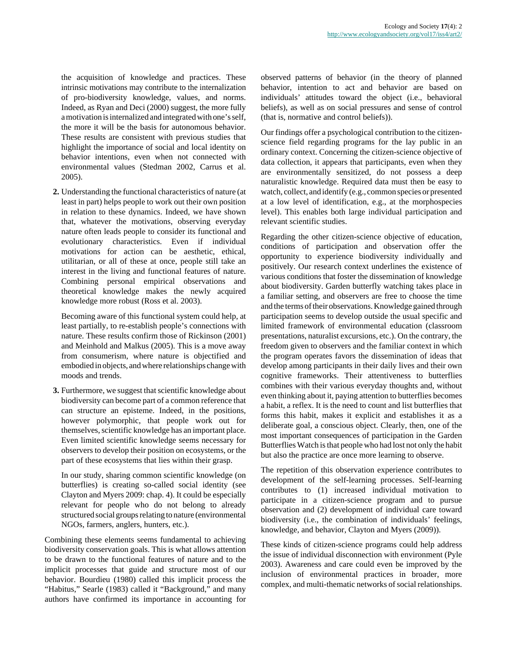the acquisition of knowledge and practices. These intrinsic motivations may contribute to the internalization of pro-biodiversity knowledge, values, and norms. Indeed, as Ryan and Deci (2000) suggest, the more fully a motivation is internalized and integrated with one's self, the more it will be the basis for autonomous behavior. These results are consistent with previous studies that highlight the importance of social and local identity on behavior intentions, even when not connected with environmental values (Stedman 2002, Carrus et al. 2005).

**2.** Understanding the functional characteristics of nature (at least in part) helps people to work out their own position in relation to these dynamics. Indeed, we have shown that, whatever the motivations, observing everyday nature often leads people to consider its functional and evolutionary characteristics. Even if individual motivations for action can be aesthetic, ethical, utilitarian, or all of these at once, people still take an interest in the living and functional features of nature. Combining personal empirical observations and theoretical knowledge makes the newly acquired knowledge more robust (Ross et al. 2003).

Becoming aware of this functional system could help, at least partially, to re-establish people's connections with nature. These results confirm those of Rickinson (2001) and Meinhold and Malkus (2005). This is a move away from consumerism, where nature is objectified and embodied in objects, and where relationships change with moods and trends.

**3.** Furthermore, we suggest that scientific knowledge about biodiversity can become part of a common reference that can structure an episteme. Indeed, in the positions, however polymorphic, that people work out for themselves, scientific knowledge has an important place. Even limited scientific knowledge seems necessary for observers to develop their position on ecosystems, or the part of these ecosystems that lies within their grasp.

In our study, sharing common scientific knowledge (on butterflies) is creating so-called social identity (see Clayton and Myers 2009: chap. 4). It could be especially relevant for people who do not belong to already structured social groups relating to nature (environmental NGOs, farmers, anglers, hunters, etc.).

Combining these elements seems fundamental to achieving biodiversity conservation goals. This is what allows attention to be drawn to the functional features of nature and to the implicit processes that guide and structure most of our behavior. Bourdieu (1980) called this implicit process the "Habitus," Searle (1983) called it "Background," and many authors have confirmed its importance in accounting for

observed patterns of behavior (in the theory of planned behavior, intention to act and behavior are based on individuals' attitudes toward the object (i.e., behavioral beliefs), as well as on social pressures and sense of control (that is, normative and control beliefs)).

Our findings offer a psychological contribution to the citizenscience field regarding programs for the lay public in an ordinary context. Concerning the citizen-science objective of data collection, it appears that participants, even when they are environmentally sensitized, do not possess a deep naturalistic knowledge. Required data must then be easy to watch, collect, and identify (e.g., common species or presented at a low level of identification, e.g., at the morphospecies level). This enables both large individual participation and relevant scientific studies.

Regarding the other citizen-science objective of education, conditions of participation and observation offer the opportunity to experience biodiversity individually and positively. Our research context underlines the existence of various conditions that foster the dissemination of knowledge about biodiversity. Garden butterfly watching takes place in a familiar setting, and observers are free to choose the time and the terms of their observations. Knowledge gained through participation seems to develop outside the usual specific and limited framework of environmental education (classroom presentations, naturalist excursions, etc.). On the contrary, the freedom given to observers and the familiar context in which the program operates favors the dissemination of ideas that develop among participants in their daily lives and their own cognitive frameworks. Their attentiveness to butterflies combines with their various everyday thoughts and, without even thinking about it, paying attention to butterflies becomes a habit, a reflex. It is the need to count and list butterflies that forms this habit, makes it explicit and establishes it as a deliberate goal, a conscious object. Clearly, then, one of the most important consequences of participation in the Garden Butterflies Watch is that people who had lost not only the habit but also the practice are once more learning to observe.

The repetition of this observation experience contributes to development of the self-learning processes. Self-learning contributes to (1) increased individual motivation to participate in a citizen-science program and to pursue observation and (2) development of individual care toward biodiversity (i.e., the combination of individuals' feelings, knowledge, and behavior, Clayton and Myers (2009)).

These kinds of citizen-science programs could help address the issue of individual disconnection with environment (Pyle 2003). Awareness and care could even be improved by the inclusion of environmental practices in broader, more complex, and multi-thematic networks of social relationships.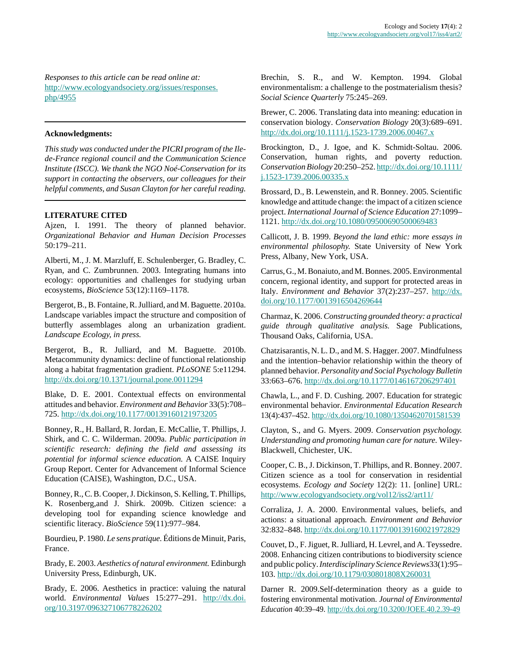*Responses to this article can be read online at:* [http://www.ecologyandsociety.org/issues/responses.](http://www.ecologyandsociety.org/issues/responses.php/4955) [php/4955](http://www.ecologyandsociety.org/issues/responses.php/4955)

#### **Acknowledgments:**

*This study was conducted under the PICRI program of the Ilede-France regional council and the Communication Science Institute (ISCC). We thank the NGO Noé-Conservation for its support in contacting the observers, our colleagues for their helpful comments, and Susan Clayton for her careful reading.*

#### **LITERATURE CITED**

Ajzen, I. 1991. The theory of planned behavior. *Organizational Behavior and Human Decision Processes* 50:179–211.

Alberti, M., J. M. Marzluff, E. Schulenberger, G. Bradley, C. Ryan, and C. Zumbrunnen. 2003. Integrating humans into ecology: opportunities and challenges for studying urban ecosystems, *BioScience* 53(12):1169–1178.

Bergerot, B., B. Fontaine, R. Julliard, and M. Baguette. 2010a. Landscape variables impact the structure and composition of butterfly assemblages along an urbanization gradient. *Landscape Ecology, in press.*

Bergerot, B., R. Julliard, and M. Baguette. 2010b. Metacommunity dynamics: decline of functional relationship along a habitat fragmentation gradient. *PLoSONE* 5:e11294. <http://dx.doi.org/10.1371/journal.pone.0011294>

Blake, D. E. 2001. Contextual effects on environmental attitudes and behavior. *Environment and Behavior* 33(5):708– 725. <http://dx.doi.org/10.1177/00139160121973205>

Bonney, R., H. Ballard, R. Jordan, E. McCallie, T. Phillips, J. Shirk, and C. C. Wilderman. 2009a. *Public participation in scientific research: defining the field and assessing its potential for informal science education.* A CAISE Inquiry Group Report. Center for Advancement of Informal Science Education (CAISE), Washington, D.C., USA.

Bonney, R., C. B. Cooper, J. Dickinson, S. Kelling, T. Phillips, K. Rosenberg,and J. Shirk. 2009b. Citizen science: a developing tool for expanding science knowledge and scientific literacy. *BioScience* 59(11):977–984.

Bourdieu, P. 1980. *Le sens pratique.* Éditions de Minuit, Paris, France.

Brady, E. 2003. *Aesthetics of natural environment.* Edinburgh University Press, Edinburgh, UK.

Brady, E. 2006. Aesthetics in practice: valuing the natural world. *Environmental Values* 15:277–291. [http://dx.doi.](http://dx.doi.org/10.3197/096327106778226202) [org/10.3197/096327106778226202](http://dx.doi.org/10.3197/096327106778226202)

Brechin, S. R., and W. Kempton. 1994. Global environmentalism: a challenge to the postmaterialism thesis? *Social Science Quarterly* 75:245–269.

Brewer, C. 2006. Translating data into meaning: education in conservation biology. *Conservation Biology* 20(3):689–691. <http://dx.doi.org/10.1111/j.1523-1739.2006.00467.x>

Brockington, D., J. Igoe, and K. Schmidt-Soltau. 2006. Conservation, human rights, and poverty reduction. *Conservation Biology* 20:250–252. [http://dx.doi.org/10.1111/](http://dx.doi.org/10.1111/j.1523-1739.2006.00335.x) [j.1523-1739.2006.00335.x](http://dx.doi.org/10.1111/j.1523-1739.2006.00335.x)

Brossard, D., B. Lewenstein, and R. Bonney. 2005. Scientific knowledge and attitude change: the impact of a citizen science project. *International Journal of Science Education* 27:1099– 1121. <http://dx.doi.org/10.1080/09500690500069483>

Callicott, J. B. 1999. *Beyond the land ethic: more essays in environmental philosophy.* State University of New York Press, Albany, New York, USA.

Carrus, G., M. Bonaiuto, and M. Bonnes. 2005. Environmental concern, regional identity, and support for protected areas in Italy. *Environment and Behavior* 37(2):237–257. [http://dx.](http://dx.doi.org/10.1177/0013916504269644) [doi.org/10.1177/0013916504269644](http://dx.doi.org/10.1177/0013916504269644)

Charmaz, K. 2006. *Constructing grounded theory: a practical guide through qualitative analysis.* Sage Publications, Thousand Oaks, California, USA.

Chatzisarantis, N. L. D., and M. S. Hagger. 2007. Mindfulness and the intention–behavior relationship within the theory of planned behavior. *Personality and Social Psychology Bulletin* 33:663–676. <http://dx.doi.org/10.1177/0146167206297401>

Chawla, L., and F. D. Cushing. 2007. Education for strategic environmental behavior. *Environmental Education Research* 13(4):437–452.<http://dx.doi.org/10.1080/13504620701581539>

Clayton, S., and G. Myers. 2009. *Conservation psychology. Understanding and promoting human care for nature.* Wiley-Blackwell, Chichester, UK.

Cooper, C. B., J. Dickinson, T. Phillips, and R. Bonney. 2007. Citizen science as a tool for conservation in residential ecosystems. *Ecology and Society* 12(2): 11. [online] URL: <http://www.ecologyandsociety.org/vol12/iss2/art11/>

Corraliza, J. A. 2000. Environmental values, beliefs, and actions: a situational approach. *Environment and Behavior* 32:832–848.<http://dx.doi.org/10.1177/00139160021972829>

Couvet, D., F. Jiguet, R. Julliard, H. Levrel, and A. Teyssedre. 2008. Enhancing citizen contributions to biodiversity science and public policy. *Interdisciplinary Science Reviews*33(1):95– 103. <http://dx.doi.org/10.1179/030801808X260031>

Darner R. 2009.Self-determination theory as a guide to fostering environmental motivation. *Journal of Environmental Education* 40:39–49.<http://dx.doi.org/10.3200/JOEE.40.2.39-49>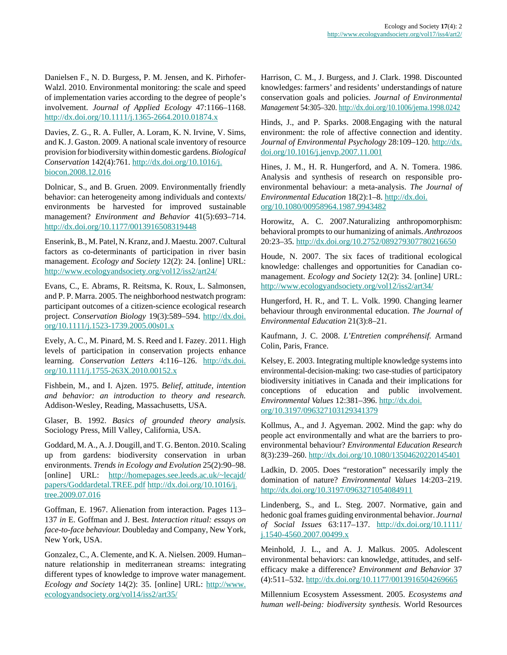Danielsen F., N. D. Burgess, P. M. Jensen, and K. Pirhofer-Walzl. 2010. Environmental monitoring: the scale and speed of implementation varies according to the degree of people's involvement. *Journal of Applied Ecology* 47:1166–1168. <http://dx.doi.org/10.1111/j.1365-2664.2010.01874.x>

Davies, Z. G., R. A. Fuller, A. Loram, K. N. Irvine, V. Sims, and K. J. Gaston. 2009. A national scale inventory of resource provision for biodiversity within domestic gardens. *Biological Conservation* 142(4):761. [http://dx.doi.org/10.1016/j.](http://dx.doi.org/10.1016/j.biocon.2008.12.016) [biocon.2008.12.016](http://dx.doi.org/10.1016/j.biocon.2008.12.016)

Dolnicar, S., and B. Gruen. 2009. Environmentally friendly behavior: can heterogeneity among individuals and contexts/ environments be harvested for improved sustainable management? *Environment and Behavior* 41(5):693–714. <http://dx.doi.org/10.1177/0013916508319448>

Enserink, B., M. Patel, N. Kranz, and J. Maestu. 2007. Cultural factors as co-determinants of participation in river basin management. *Ecology and Society* 12(2): 24. [online] URL: <http://www.ecologyandsociety.org/vol12/iss2/art24/>

Evans, C., E. Abrams, R. Reitsma, K. Roux, L. Salmonsen, and P. P. Marra. 2005. The neighborhood nestwatch program: participant outcomes of a citizen-science ecological research project. *Conservation Biology* 19(3):589–594. [http://dx.doi.](http://dx.doi.org/10.1111/j.1523-1739.2005.00s01.x) [org/10.1111/j.1523-1739.2005.00s01.x](http://dx.doi.org/10.1111/j.1523-1739.2005.00s01.x)

Evely, A. C., M. Pinard, M. S. Reed and I. Fazey. 2011. High levels of participation in conservation projects enhance learning. Conservation Letters 4:116-126. [http://dx.doi.](http://dx.doi.org/10.1111/j.1755-263X.2010.00152.x) [org/10.1111/j.1755-263X.2010.00152.x](http://dx.doi.org/10.1111/j.1755-263X.2010.00152.x)

Fishbein, M., and I. Ajzen. 1975. *Belief, attitude, intention and behavior: an introduction to theory and research.* Addison-Wesley, Reading, Massachusetts, USA.

Glaser, B. 1992. *Basics of grounded theory analysis.* Sociology Press, Mill Valley, California, USA.

Goddard, M. A., A. J. Dougill, and T. G. Benton. 2010. Scaling up from gardens: biodiversity conservation in urban environments. *Trends in Ecology and Evolution* 25(2):90–98. [online] URL: [http://homepages.see.leeds.ac.uk/~lecajd/](http://homepages.see.leeds.ac.uk/~lecajd/papers/Goddardetal.TREE.pdf) [papers/Goddardetal.TREE.pdf](http://homepages.see.leeds.ac.uk/~lecajd/papers/Goddardetal.TREE.pdf) [http://dx.doi.org/10.1016/j.](http://dx.doi.org/10.1016/j.tree.2009.07.016) [tree.2009.07.016](http://dx.doi.org/10.1016/j.tree.2009.07.016)

Goffman, E. 1967. Alienation from interaction. Pages 113– 137 *in* E. Goffman and J. Best. *Interaction ritual: essays on face-to-face behaviour.* Doubleday and Company, New York, New York, USA.

Gonzalez, C., A. Clemente, and K. A. Nielsen. 2009. Human– nature relationship in mediterranean streams: integrating different types of knowledge to improve water management. *Ecology and Society* 14(2): 35. [online] URL: [http://www.](http://www.ecologyandsociety.org/vol14/iss2/art35/) [ecologyandsociety.org/vol14/iss2/art35/](http://www.ecologyandsociety.org/vol14/iss2/art35/)

Harrison, C. M., J. Burgess, and J. Clark. 1998. Discounted knowledges: farmers' and residents' understandings of nature conservation goals and policies. *Journal of Environmental Management* 54:305–320.<http://dx.doi.org/10.1006/jema.1998.0242>

Hinds, J., and P. Sparks. 2008.Engaging with the natural environment: the role of affective connection and identity. *Journal of Environmental Psychology* 28:109–120. [http://dx.](http://dx.doi.org/10.1006/jema.1998.0242) [doi.org/10.1016/j.jenvp.2007.11.001](http://dx.doi.org/10.1006/jema.1998.0242)

Hines, J. M., H. R. Hungerford, and A. N. Tomera. 1986. Analysis and synthesis of research on responsible proenvironmental behaviour: a meta-analysis. *The Journal of Environmental Education* 18(2):1–8. [http://dx.doi.](http://dx.doi.org/10.1080/00958964.1987.9943482) [org/10.1080/00958964.1987.9943482](http://dx.doi.org/10.1080/00958964.1987.9943482)

Horowitz, A. C. 2007.Naturalizing anthropomorphism: behavioral prompts to our humanizing of animals. *Anthrozoos* 20:23–35. <http://dx.doi.org/10.2752/089279307780216650>

Houde, N. 2007. The six faces of traditional ecological knowledge: challenges and opportunities for Canadian comanagement. *Ecology and Society* 12(2): 34. [online] URL: <http://www.ecologyandsociety.org/vol12/iss2/art34/>

Hungerford, H. R., and T. L. Volk. 1990. Changing learner behaviour through environmental education. *The Journal of Environmental Education* 21(3):8–21.

Kaufmann, J. C. 2008. *L'Entretien compréhensif.* Armand Colin, Paris, France.

Kelsey, E. 2003. Integrating multiple knowledge systems into environmental-decision-making: two case-studies of participatory biodiversity initiatives in Canada and their implications for conceptions of education and public involvement. *Environmental Values* 12:381–396. [http://dx.doi.](http://dx.doi.org/10.3197/096327103129341379) [org/10.3197/096327103129341379](http://dx.doi.org/10.3197/096327103129341379)

Kollmus, A., and J. Agyeman. 2002. Mind the gap: why do people act environmentally and what are the barriers to proenvironmental behaviour? *Environmental Education Research* 8(3):239–260. <http://dx.doi.org/10.1080/13504620220145401>

Ladkin, D. 2005. Does "restoration" necessarily imply the domination of nature? *Environmental Values* 14:203–219. <http://dx.doi.org/10.3197/0963271054084911>

Lindenberg, S., and L. Steg. 2007. Normative, gain and hedonic goal frames guiding environmental behavior. *Journal of Social Issues* 63:117–137. [http://dx.doi.org/10.1111/](http://dx.doi.org/10.1111/j.1540-4560.2007.00499.x4) [j.1540-4560.2007.00499.x](http://dx.doi.org/10.1111/j.1540-4560.2007.00499.x4)

Meinhold, J. L., and A. J. Malkus. 2005. Adolescent environmental behaviors: can knowledge, attitudes, and selfefficacy make a difference? *Environment and Behavior* 37 (4):511–532.<http://dx.doi.org/10.1177/0013916504269665>

Millennium Ecosystem Assessment. 2005. *Ecosystems and human well-being: biodiversity synthesis.* World Resources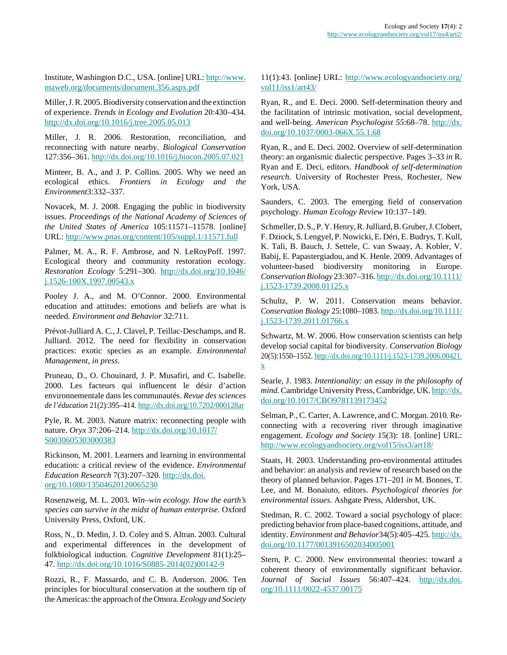Institute, Washington D.C., USA. [online] URL: [http://www.](http://www.maweb.org/documents/document.356.aspx.pdf) [maweb.org/documents/document.356.aspx.pdf](http://www.maweb.org/documents/document.356.aspx.pdf)

Miller, J. R. 2005. Biodiversity conservation and the extinction of experience. *Trends in Ecology and Evolution* 20:430–434. <http://dx.doi.org/10.1016/j.tree.2005.05.013>

Miller, J. R. 2006. Restoration, reconciliation, and reconnecting with nature nearby. *Biological Conservation* 127:356–361. <http://dx.doi.org/10.1016/j.biocon.2005.07.021>

Minteer, B. A., and J. P. Collins. 2005. Why we need an ecological ethics. *Frontiers in Ecology and the Environment*3:332–337.

Novacek, M. J. 2008. Engaging the public in biodiversity issues. *Proceedings of the National Academy of Sciences of the United States of America* 105:11571–11578. [online] URL:<http://www.pnas.org/content/105/suppl.1/11571.full>

Palmer, M. A., R. F. Ambrose, and N. LeRoyPoff. 1997. Ecological theory and community restoration ecology. *Restoration Ecology* 5:291–300. [http://dx.doi.org/10.1046/](http://dx.doi.org/10.1046/j.1526-100X.1997.00543.x) [j.1526-100X.1997.00543.x](http://dx.doi.org/10.1046/j.1526-100X.1997.00543.x)

Pooley J. A., and M. O'Connor. 2000. Environmental education and attitudes: emotions and beliefs are what is needed. *Environment and Behavior* 32:711.

Prévot-Julliard A. C., J. Clavel, P. Teillac-Deschamps, and R. Julliard. 2012. The need for flexibility in conservation practices: exotic species as an example. *Environmental Management, in press*.

Pruneau, D., O. Chouinard, J. P. Musafiri, and C. Isabelle. 2000. Les facteurs qui influencent le désir d'action environnementale dans les communautés. *Revue des sciences de l'éducation* 21(2):395–414. <http://dx.doi.org/10.7202/000128ar>

Pyle, R. M. 2003. Nature matrix: reconnecting people with nature. *Oryx* 37:206–214. [http://dx.doi.org/10.1017/](http://dx.doi.org/10.1017/S0030605303000383) [S0030605303000383](http://dx.doi.org/10.1017/S0030605303000383)

Rickinson, M. 2001. Learners and learning in environmental education: a critical review of the evidence. *Environmental Education Research* 7(3):207–320. [http://dx.doi.](http://dx.doi.org/10.1080/13504620120065230) [org/10.1080/13504620120065230](http://dx.doi.org/10.1080/13504620120065230)

Rosenzweig, M. L. 2003. *Win–win ecology. How the earth's species can survive in the midst of human enterprise.* Oxford University Press, Oxford, UK.

Ross, N., D. Medin, J. D. Coley and S. Altran. 2003. Cultural and experimental differences in the development of folkbiological induction. *Cognitive Development* 81(1):25– 47. [http://dx.doi.org/10.1016/S0885-2014\(02\)00142-9](http://dx.doi.org/10.1016/S0885-2014(02)00142-9)

Rozzi, R., F. Massardo, and C. B. Anderson. 2006. Ten principles for biocultural conservation at the southern tip of the Americas: the approach of the Omora. *Ecology and Society*

11(1):43. [online] URL: [http://www.ecologyandsociety.org/](http://www.ecologyandsociety.org/vol11/iss1/art43/) [vol11/iss1/art43/](http://www.ecologyandsociety.org/vol11/iss1/art43/)

Ryan, R., and E. Deci. 2000. Self-determination theory and the facilitation of intrinsic motivation, social development, and well-being. *American Psychologist 55*:68–78. [http://dx.](http://dx.doi.org/10.1037/0003-066X.55.1.68) [doi.org/10.1037/0003-066X.55.1.68](http://dx.doi.org/10.1037/0003-066X.55.1.68)

Ryan, R., and E. Deci. 2002. Overview of self-determination theory: an organismic dialectic perspective. Pages 3–33 *in* R. Ryan and E. Deci, editors. *Handbook of self-determination research.* University of Rochester Press, Rochester, New York, USA.

Saunders, C. 2003. The emerging field of conservation psychology. *Human Ecology Review* 10:137–149.

Schmeller, D. S., P. Y. Henry, R. Julliard, B. Gruber, J. Clobert, F. Dziock, S. Lengyel, P. Nowicki, E. Déri, E. Budrys, T. Kull, K. Tali, B. Bauch, J. Settele, C. van Swaay, A. Kobler, V. Babij, E. Papastergiadou, and K. Henle. 2009. Advantages of volunteer-based biodiversity monitoring in Europe. *Conservation Biology* 23:307–316. [http://dx.doi.org/10.1111/](http://dx.doi.org/10.1111/j.1523-1739.2008.01125.x) [j.1523-1739.2008.01125.x](http://dx.doi.org/10.1111/j.1523-1739.2008.01125.x)

Schultz, P. W. 2011. Conservation means behavior. *Conservation Biology* 25:1080–1083. [http://dx.doi.org/10.1111/](http://dx.doi.org/10.1111/j.1523-1739.2011.01766.x) [j.1523-1739.2011.01766.x](http://dx.doi.org/10.1111/j.1523-1739.2011.01766.x)

Schwartz, M. W. 2006. How conservation scientists can help develop social capital for biodiversity. *Conservation Biology* 20(5):1550–1552. [http://dx.doi.org/10.1111/j.1523-1739.2006.00421.](http://dx.doi.org/10.1111/j.1523-1739.2006.00421.x) [x](http://dx.doi.org/10.1111/j.1523-1739.2006.00421.x)

Searle, J. 1983. *Intentionality: an essay in the philosophy of mind.* Cambridge University Press, Cambridge, UK. [http://dx.](http://dx.doi.org/10.1017/CBO9781139173452) [doi.org/10.1017/CBO9781139173452](http://dx.doi.org/10.1017/CBO9781139173452)

Selman, P., C. Carter, A. Lawrence, and C. Morgan. 2010. Reconnecting with a recovering river through imaginative engagement. *Ecology and Society* 15(3): 18. [online] URL: <http://www.ecologyandsociety.org/vol15/iss3/art18/>

Staats, H. 2003. Understanding pro-environmental attitudes and behavior: an analysis and review of research based on the theory of planned behavior. Pages 171–201 *in* M. Bonnes, T. Lee, and M. Bonaiuto, editors. *Psychological theories for environmental issues.* Ashgate Press, Aldershot, UK.

Stedman, R. C. 2002. Toward a social psychology of place: predicting behavior from place-based cognitions, attitude, and identity. *Environment and Behavior*34(5):405–425. [http://dx.](http://dx.doi.org/10.1177/0013916502034005001) [doi.org/10.1177/0013916502034005001](http://dx.doi.org/10.1177/0013916502034005001)

Stern, P. C. 2000. New environmental theories: toward a coherent theory of environmentally significant behavior. *Journal of Social Issues* 56:407–424. [http://dx.doi.](http://dx.doi.org/10.1111/0022-4537.00175) [org/10.1111/0022-4537.00175](http://dx.doi.org/10.1111/0022-4537.00175)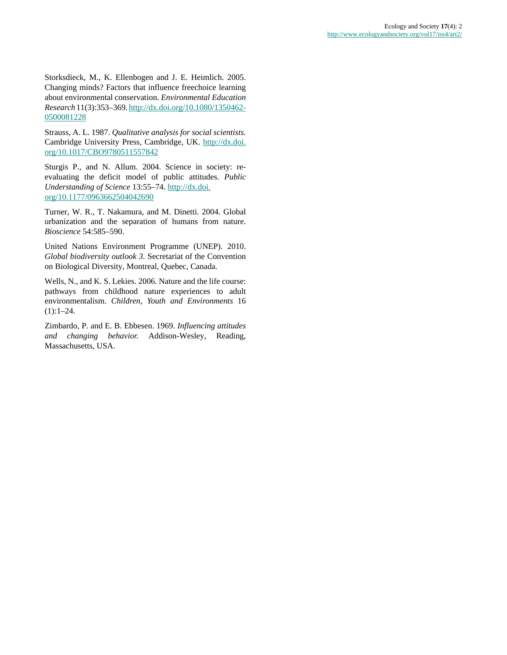Storksdieck, M., K. Ellenbogen and J. E. Heimlich. 2005. Changing minds? Factors that influence freechoice learning about environmental conservation. *Environmental Education Research* 11(3):353–369. [http://dx.doi.org/10.1080/1350462-](http://dx.doi.org/10.1080/13504620500081228) [0500081228](http://dx.doi.org/10.1080/13504620500081228)

Strauss, A. L. 1987. *Qualitative analysis for social scientists.* Cambridge University Press, Cambridge, UK. [http://dx.doi.](http://dx.doi.org/10.1017/CBO9780511557842) [org/10.1017/CBO9780511557842](http://dx.doi.org/10.1017/CBO9780511557842)

Sturgis P., and N. Allum. 2004. Science in society: reevaluating the deficit model of public attitudes. *Public Understanding of Science* 13:55–74. [http://dx.doi.](http://dx.doi.org/10.1177/0963662504042690) [org/10.1177/0963662504042690](http://dx.doi.org/10.1177/0963662504042690)

Turner, W. R., T. Nakamura, and M. Dinetti. 2004. Global urbanization and the separation of humans from nature. *Bioscience* 54:585–590.

United Nations Environment Programme (UNEP). 2010. *Global biodiversity outlook 3.* Secretariat of the Convention on Biological Diversity, Montreal, Quebec, Canada.

Wells, N., and K. S. Lekies. 2006. Nature and the life course: pathways from childhood nature experiences to adult environmentalism. *Children, Youth and Environments* 16  $(1):1-24.$ 

Zimbardo, P. and E. B. Ebbesen. 1969. *Influencing attitudes and changing behavior.* Addison-Wesley, Reading, Massachusetts, USA.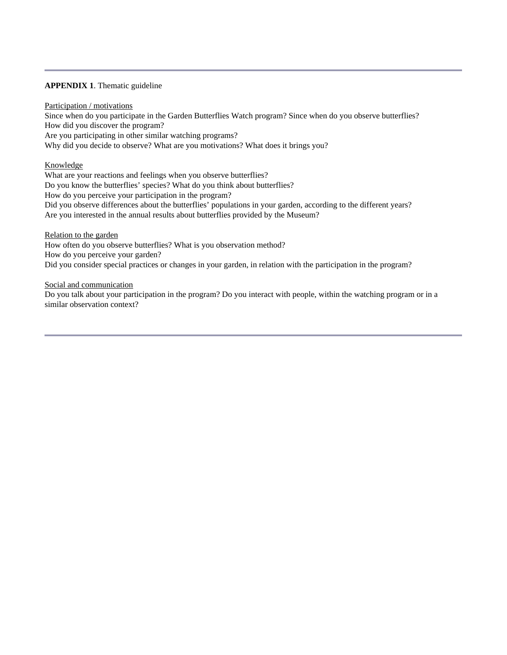# **APPENDIX 1**. Thematic guideline

Participation / motivations

Since when do you participate in the Garden Butterflies Watch program? Since when do you observe butterflies? How did you discover the program? Are you participating in other similar watching programs? Why did you decide to observe? What are you motivations? What does it brings you?

Knowledge

What are your reactions and feelings when you observe butterflies? Do you know the butterflies' species? What do you think about butterflies? How do you perceive your participation in the program? Did you observe differences about the butterflies' populations in your garden, according to the different years? Are you interested in the annual results about butterflies provided by the Museum?

Relation to the garden How often do you observe butterflies? What is you observation method? How do you perceive your garden? Did you consider special practices or changes in your garden, in relation with the participation in the program?

Social and communication

Do you talk about your participation in the program? Do you interact with people, within the watching program or in a similar observation context?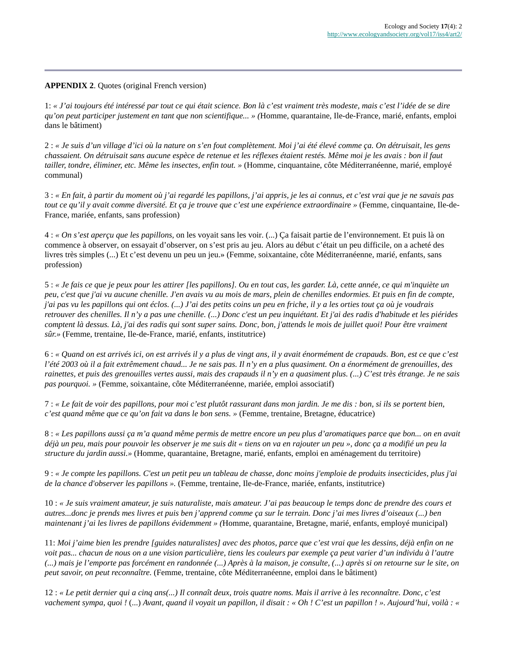# **APPENDIX 2**. Quotes (original French version)

1: *« J'ai toujours été intéressé par tout ce qui était science. Bon là c'est vraiment très modeste, mais c'est l'idée de se dire qu'on peut participer justement en tant que non scientifique... » (*Homme, quarantaine, Ile-de-France, marié, enfants, emploi dans le bâtiment)

2 : *« Je suis d'un village d'ici où la nature on s'en fout complètement. Moi j'ai été élevé comme ça. On détruisait, les gens chassaient. On détruisait sans aucune espèce de retenue et les réflexes étaient restés. Même moi je les avais : bon il faut tailler, tondre, éliminer, etc. Même les insectes, enfin tout. »* (Homme, cinquantaine, côte Méditerranéenne, marié, employé communal)

3 : *« En fait, à partir du moment où j'ai regardé les papillons, j'ai appris, je les ai connus, et c'est vrai que je ne savais pas tout ce qu'il y avait comme diversité. Et ça je trouve que c'est une expérience extraordinaire »* (Femme, cinquantaine, Ile-de-France, mariée, enfants, sans profession)

4 : *« On s'est aperçu que les papillons,* on les voyait sans les voir. (...) Ça faisait partie de l'environnement. Et puis là on commence à observer, on essayait d'observer, on s'est pris au jeu. Alors au début c'était un peu difficile, on a acheté des livres très simples (...) Et c'est devenu un peu un jeu.» (Femme, soixantaine, côte Méditerranéenne, marié, enfants, sans profession)

5 : *« Je fais ce que je peux pour les attirer [les papillons]. Ou en tout cas, les garder. Là, cette année, ce qui m'inquiète un peu, c'est que j'ai vu aucune chenille. J'en avais vu au mois de mars, plein de chenilles endormies. Et puis en fin de compte, j'ai pas vu les papillons qui ont éclos. (...) J'ai des petits coins un peu en friche, il y a les orties tout ça où je voudrais retrouver des chenilles. Il n'y a pas une chenille. (...) Donc c'est un peu inquiétant. Et j'ai des radis d'habitude et les piérides comptent là dessus. Là, j'ai des radis qui sont super sains. Donc, bon, j'attends le mois de juillet quoi! Pour être vraiment sûr.»* (Femme, trentaine, Ile-de-France, marié, enfants, institutrice)

6 : *« Quand on est arrivés ici, on est arrivés il y a plus de vingt ans, il y avait énormément de crapauds. Bon, est ce que c'est l'été 2003 où il a fait extrêmement chaud... Je ne sais pas. Il n'y en a plus quasiment. On a énormément de grenouilles, des rainettes, et puis des grenouilles vertes aussi, mais des crapauds il n'y en a quasiment plus. (...) C'est très étrange. Je ne sais pas pourquoi. »* (Femme, soixantaine, côte Méditerranéenne, mariée, emploi associatif)

7 : *« Le fait de voir des papillons, pour moi c'est plutôt rassurant dans mon jardin. Je me dis : bon, si ils se portent bien, c'est quand même que ce qu'on fait va dans le bon sens. »* (Femme, trentaine, Bretagne, éducatrice)

8 : *« Les papillons aussi ça m'a quand même permis de mettre encore un peu plus d'aromatiques parce que bon... on en avait déjà un peu, mais pour pouvoir les observer je me suis dit « tiens on va en rajouter un peu », donc ça a modifié un peu la structure du jardin aussi.»* (Homme, quarantaine, Bretagne, marié, enfants, emploi en aménagement du territoire)

9 : *« Je compte les papillons. C'est un petit peu un tableau de chasse, donc moins j'emploie de produits insecticides, plus j'ai de la chance d'observer les papillons ».* (Femme, trentaine, Ile-de-France, mariée, enfants, institutrice)

10 : *« Je suis vraiment amateur, je suis naturaliste, mais amateur. J'ai pas beaucoup le temps donc de prendre des cours et autres...donc je prends mes livres et puis ben j'apprend comme ça sur le terrain. Donc j'ai mes livres d'oiseaux (...) ben maintenant j'ai les livres de papillons évidemment » (*Homme, quarantaine, Bretagne, marié, enfants, employé municipal)

11: *Moi j'aime bien les prendre [guides naturalistes] avec des photos, parce que c'est vrai que les dessins, déjà enfin on ne voit pas... chacun de nous on a une vision particulière, tiens les couleurs par exemple ça peut varier d'un individu à l'autre (...) mais je l'emporte pas forcément en randonnée (...) Après à la maison, je consulte, (...) après si on retourne sur le site, on peut savoir, on peut reconnaître.* (Femme, trentaine, côte Méditerranéenne, emploi dans le bâtiment)

12 : *« Le petit dernier qui a cinq ans(...) Il connaît deux, trois quatre noms. Mais il arrive à les reconnaître. Donc, c'est vachement sympa, quoi !* (...) *Avant, quand il voyait un papillon, il disait : « Oh ! C'est un papillon ! ». Aujourd'hui, voilà : «*